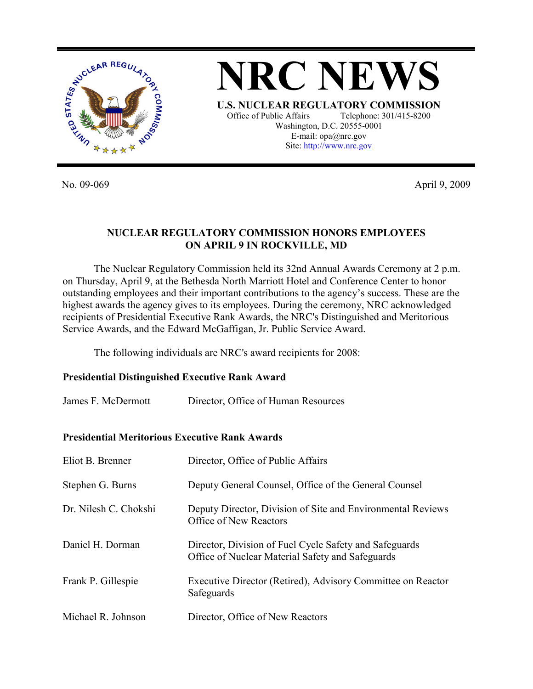



No. 09-069 April 9, 2009

### **NUCLEAR REGULATORY COMMISSION HONORS EMPLOYEES ON APRIL 9 IN ROCKVILLE, MD**

The Nuclear Regulatory Commission held its 32nd Annual Awards Ceremony at 2 p.m. on Thursday, April 9, at the Bethesda North Marriott Hotel and Conference Center to honor outstanding employees and their important contributions to the agency's success. These are the highest awards the agency gives to its employees. During the ceremony, NRC acknowledged recipients of Presidential Executive Rank Awards, the NRC's Distinguished and Meritorious Service Awards, and the Edward McGaffigan, Jr. Public Service Award.

The following individuals are NRC's award recipients for 2008:

### **Presidential Distinguished Executive Rank Award**

| James F. McDermott | Director, Office of Human Resources |
|--------------------|-------------------------------------|
|--------------------|-------------------------------------|

#### **Presidential Meritorious Executive Rank Awards**

| Eliot B. Brenner      | Director, Office of Public Affairs                                                                         |
|-----------------------|------------------------------------------------------------------------------------------------------------|
| Stephen G. Burns      | Deputy General Counsel, Office of the General Counsel                                                      |
| Dr. Nilesh C. Chokshi | Deputy Director, Division of Site and Environmental Reviews<br>Office of New Reactors                      |
| Daniel H. Dorman      | Director, Division of Fuel Cycle Safety and Safeguards<br>Office of Nuclear Material Safety and Safeguards |
| Frank P. Gillespie    | Executive Director (Retired), Advisory Committee on Reactor<br>Safeguards                                  |
| Michael R. Johnson    | Director, Office of New Reactors                                                                           |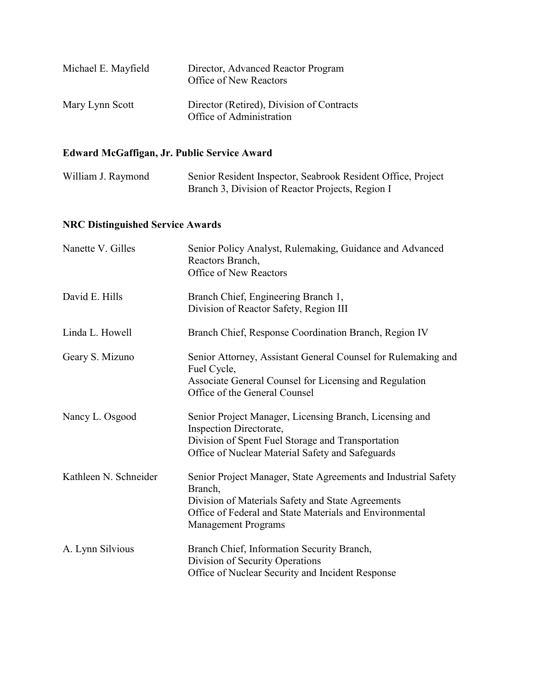| Michael E. Mayfield | Director, Advanced Reactor Program<br>Office of New Reactors          |
|---------------------|-----------------------------------------------------------------------|
| Mary Lynn Scott     | Director (Retired), Division of Contracts<br>Office of Administration |

# **Edward McGaffigan, Jr. Public Service Award**

| William J. Raymond | Senior Resident Inspector, Seabrook Resident Office, Project |
|--------------------|--------------------------------------------------------------|
|                    | Branch 3, Division of Reactor Projects, Region I             |

## **NRC Distinguished Service Awards**

| Nanette V. Gilles     | Senior Policy Analyst, Rulemaking, Guidance and Advanced<br>Reactors Branch,<br><b>Office of New Reactors</b>                                                                                                           |
|-----------------------|-------------------------------------------------------------------------------------------------------------------------------------------------------------------------------------------------------------------------|
| David E. Hills        | Branch Chief, Engineering Branch 1,<br>Division of Reactor Safety, Region III                                                                                                                                           |
| Linda L. Howell       | Branch Chief, Response Coordination Branch, Region IV                                                                                                                                                                   |
| Geary S. Mizuno       | Senior Attorney, Assistant General Counsel for Rulemaking and<br>Fuel Cycle,<br>Associate General Counsel for Licensing and Regulation<br>Office of the General Counsel                                                 |
| Nancy L. Osgood       | Senior Project Manager, Licensing Branch, Licensing and<br>Inspection Directorate,<br>Division of Spent Fuel Storage and Transportation<br>Office of Nuclear Material Safety and Safeguards                             |
| Kathleen N. Schneider | Senior Project Manager, State Agreements and Industrial Safety<br>Branch,<br>Division of Materials Safety and State Agreements<br>Office of Federal and State Materials and Environmental<br><b>Management Programs</b> |
| A. Lynn Silvious      | Branch Chief, Information Security Branch,<br>Division of Security Operations<br>Office of Nuclear Security and Incident Response                                                                                       |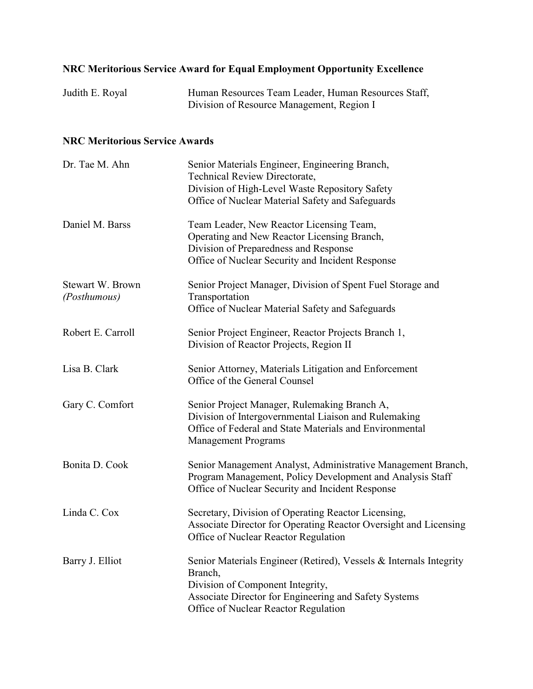# **NRC Meritorious Service Award for Equal Employment Opportunity Excellence**

| Judith E. Royal | Human Resources Team Leader, Human Resources Staff, |
|-----------------|-----------------------------------------------------|
|                 | Division of Resource Management, Region I           |

## **NRC Meritorious Service Awards**

| Dr. Tae M. Ahn                   | Senior Materials Engineer, Engineering Branch,<br><b>Technical Review Directorate,</b><br>Division of High-Level Waste Repository Safety<br>Office of Nuclear Material Safety and Safeguards                       |
|----------------------------------|--------------------------------------------------------------------------------------------------------------------------------------------------------------------------------------------------------------------|
| Daniel M. Barss                  | Team Leader, New Reactor Licensing Team,<br>Operating and New Reactor Licensing Branch,<br>Division of Preparedness and Response<br>Office of Nuclear Security and Incident Response                               |
| Stewart W. Brown<br>(Posthumous) | Senior Project Manager, Division of Spent Fuel Storage and<br>Transportation<br>Office of Nuclear Material Safety and Safeguards                                                                                   |
| Robert E. Carroll                | Senior Project Engineer, Reactor Projects Branch 1,<br>Division of Reactor Projects, Region II                                                                                                                     |
| Lisa B. Clark                    | Senior Attorney, Materials Litigation and Enforcement<br>Office of the General Counsel                                                                                                                             |
| Gary C. Comfort                  | Senior Project Manager, Rulemaking Branch A,<br>Division of Intergovernmental Liaison and Rulemaking<br>Office of Federal and State Materials and Environmental<br><b>Management Programs</b>                      |
| Bonita D. Cook                   | Senior Management Analyst, Administrative Management Branch,<br>Program Management, Policy Development and Analysis Staff<br>Office of Nuclear Security and Incident Response                                      |
| Linda C. Cox                     | Secretary, Division of Operating Reactor Licensing,<br>Associate Director for Operating Reactor Oversight and Licensing<br>Office of Nuclear Reactor Regulation                                                    |
| Barry J. Elliot                  | Senior Materials Engineer (Retired), Vessels & Internals Integrity<br>Branch,<br>Division of Component Integrity,<br>Associate Director for Engineering and Safety Systems<br>Office of Nuclear Reactor Regulation |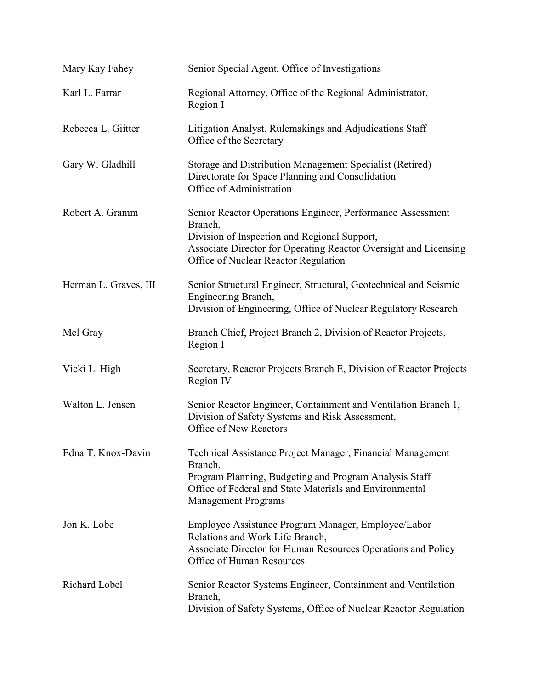| Mary Kay Fahey        | Senior Special Agent, Office of Investigations                                                                                                                                                                                    |
|-----------------------|-----------------------------------------------------------------------------------------------------------------------------------------------------------------------------------------------------------------------------------|
| Karl L. Farrar        | Regional Attorney, Office of the Regional Administrator,<br>Region I                                                                                                                                                              |
| Rebecca L. Giitter    | Litigation Analyst, Rulemakings and Adjudications Staff<br>Office of the Secretary                                                                                                                                                |
| Gary W. Gladhill      | Storage and Distribution Management Specialist (Retired)<br>Directorate for Space Planning and Consolidation<br>Office of Administration                                                                                          |
| Robert A. Gramm       | Senior Reactor Operations Engineer, Performance Assessment<br>Branch,<br>Division of Inspection and Regional Support,<br>Associate Director for Operating Reactor Oversight and Licensing<br>Office of Nuclear Reactor Regulation |
| Herman L. Graves, III | Senior Structural Engineer, Structural, Geotechnical and Seismic<br>Engineering Branch,<br>Division of Engineering, Office of Nuclear Regulatory Research                                                                         |
| Mel Gray              | Branch Chief, Project Branch 2, Division of Reactor Projects,<br>Region I                                                                                                                                                         |
| Vicki L. High         | Secretary, Reactor Projects Branch E, Division of Reactor Projects<br>Region IV                                                                                                                                                   |
| Walton L. Jensen      | Senior Reactor Engineer, Containment and Ventilation Branch 1,<br>Division of Safety Systems and Risk Assessment,<br>Office of New Reactors                                                                                       |
| Edna T. Knox-Davin    | Technical Assistance Project Manager, Financial Management<br>Branch,<br>Program Planning, Budgeting and Program Analysis Staff<br>Office of Federal and State Materials and Environmental<br><b>Management Programs</b>          |
| Jon K. Lobe           | Employee Assistance Program Manager, Employee/Labor<br>Relations and Work Life Branch,<br>Associate Director for Human Resources Operations and Policy<br>Office of Human Resources                                               |
| Richard Lobel         | Senior Reactor Systems Engineer, Containment and Ventilation<br>Branch,<br>Division of Safety Systems, Office of Nuclear Reactor Regulation                                                                                       |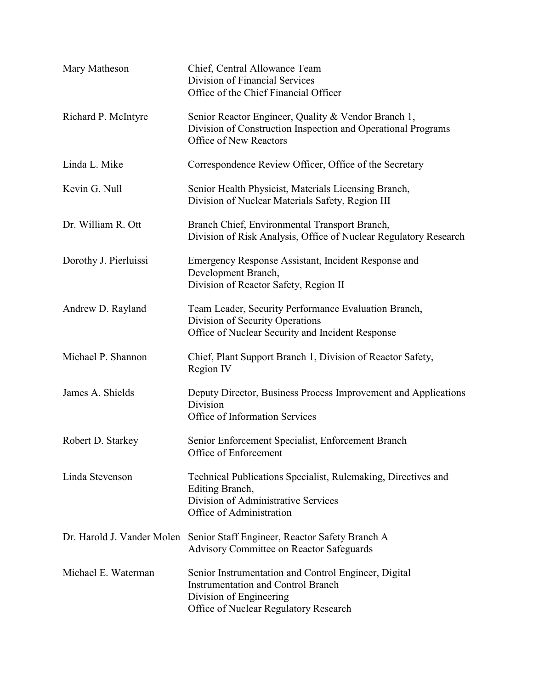| Mary Matheson              | Chief, Central Allowance Team<br>Division of Financial Services<br>Office of the Chief Financial Officer                                                              |
|----------------------------|-----------------------------------------------------------------------------------------------------------------------------------------------------------------------|
| Richard P. McIntyre        | Senior Reactor Engineer, Quality & Vendor Branch 1,<br>Division of Construction Inspection and Operational Programs<br>Office of New Reactors                         |
| Linda L. Mike              | Correspondence Review Officer, Office of the Secretary                                                                                                                |
| Kevin G. Null              | Senior Health Physicist, Materials Licensing Branch,<br>Division of Nuclear Materials Safety, Region III                                                              |
| Dr. William R. Ott         | Branch Chief, Environmental Transport Branch,<br>Division of Risk Analysis, Office of Nuclear Regulatory Research                                                     |
| Dorothy J. Pierluissi      | Emergency Response Assistant, Incident Response and<br>Development Branch,<br>Division of Reactor Safety, Region II                                                   |
| Andrew D. Rayland          | Team Leader, Security Performance Evaluation Branch,<br>Division of Security Operations<br>Office of Nuclear Security and Incident Response                           |
| Michael P. Shannon         | Chief, Plant Support Branch 1, Division of Reactor Safety,<br>Region IV                                                                                               |
| James A. Shields           | Deputy Director, Business Process Improvement and Applications<br>Division<br>Office of Information Services                                                          |
| Robert D. Starkey          | Senior Enforcement Specialist, Enforcement Branch<br>Office of Enforcement                                                                                            |
| Linda Stevenson            | Technical Publications Specialist, Rulemaking, Directives and<br>Editing Branch,<br>Division of Administrative Services<br>Office of Administration                   |
| Dr. Harold J. Vander Molen | Senior Staff Engineer, Reactor Safety Branch A<br><b>Advisory Committee on Reactor Safeguards</b>                                                                     |
| Michael E. Waterman        | Senior Instrumentation and Control Engineer, Digital<br><b>Instrumentation and Control Branch</b><br>Division of Engineering<br>Office of Nuclear Regulatory Research |